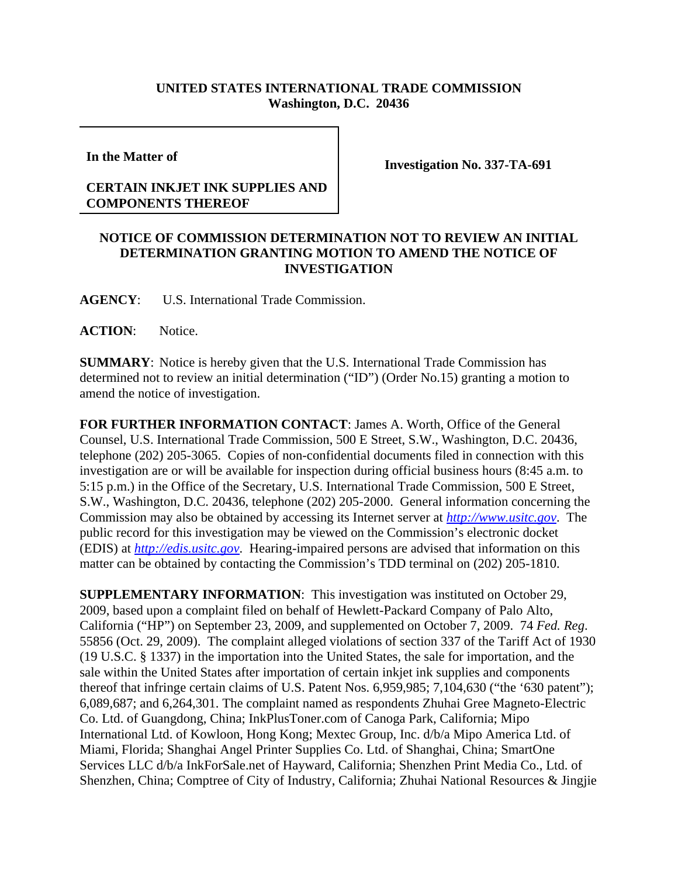## **UNITED STATES INTERNATIONAL TRADE COMMISSION Washington, D.C. 20436**

**In the Matter of** 

**Investigation No. 337-TA-691**

## **CERTAIN INKJET INK SUPPLIES AND COMPONENTS THEREOF**

## **NOTICE OF COMMISSION DETERMINATION NOT TO REVIEW AN INITIAL DETERMINATION GRANTING MOTION TO AMEND THE NOTICE OF INVESTIGATION**

**AGENCY**: U.S. International Trade Commission.

**ACTION**: Notice.

**SUMMARY**: Notice is hereby given that the U.S. International Trade Commission has determined not to review an initial determination ("ID") (Order No.15) granting a motion to amend the notice of investigation.

**FOR FURTHER INFORMATION CONTACT**: James A. Worth, Office of the General Counsel, U.S. International Trade Commission, 500 E Street, S.W., Washington, D.C. 20436, telephone (202) 205-3065. Copies of non-confidential documents filed in connection with this investigation are or will be available for inspection during official business hours (8:45 a.m. to 5:15 p.m.) in the Office of the Secretary, U.S. International Trade Commission, 500 E Street, S.W., Washington, D.C. 20436, telephone (202) 205-2000. General information concerning the Commission may also be obtained by accessing its Internet server at *http://www.usitc.gov*. The public record for this investigation may be viewed on the Commission's electronic docket (EDIS) at *http://edis.usitc.gov*. Hearing-impaired persons are advised that information on this matter can be obtained by contacting the Commission's TDD terminal on (202) 205-1810.

**SUPPLEMENTARY INFORMATION**: This investigation was instituted on October 29, 2009, based upon a complaint filed on behalf of Hewlett-Packard Company of Palo Alto, California ("HP") on September 23, 2009, and supplemented on October 7, 2009. 74 *Fed. Reg*. 55856 (Oct. 29, 2009). The complaint alleged violations of section 337 of the Tariff Act of 1930 (19 U.S.C. § 1337) in the importation into the United States, the sale for importation, and the sale within the United States after importation of certain inkjet ink supplies and components thereof that infringe certain claims of U.S. Patent Nos. 6,959,985; 7,104,630 ("the '630 patent"); 6,089,687; and 6,264,301. The complaint named as respondents Zhuhai Gree Magneto-Electric Co. Ltd. of Guangdong, China; InkPlusToner.com of Canoga Park, California; Mipo International Ltd. of Kowloon, Hong Kong; Mextec Group, Inc. d/b/a Mipo America Ltd. of Miami, Florida; Shanghai Angel Printer Supplies Co. Ltd. of Shanghai, China; SmartOne Services LLC d/b/a InkForSale.net of Hayward, California; Shenzhen Print Media Co., Ltd. of Shenzhen, China; Comptree of City of Industry, California; Zhuhai National Resources & Jingjie